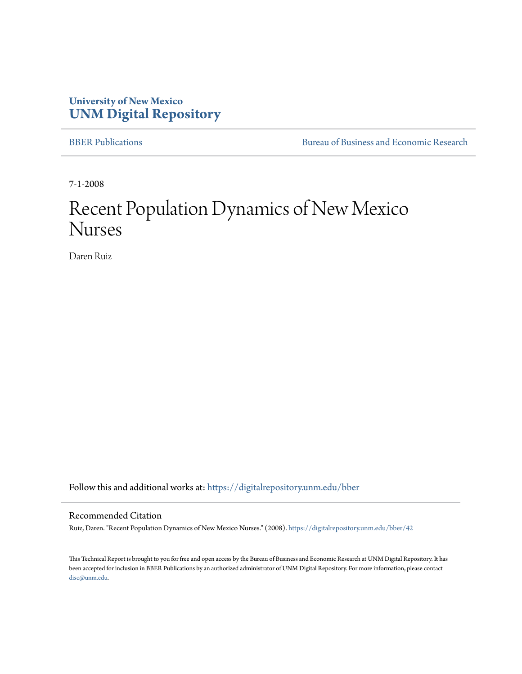# **University of New Mexico [UNM Digital Repository](https://digitalrepository.unm.edu?utm_source=digitalrepository.unm.edu%2Fbber%2F42&utm_medium=PDF&utm_campaign=PDFCoverPages)**

[BBER Publications](https://digitalrepository.unm.edu/bber?utm_source=digitalrepository.unm.edu%2Fbber%2F42&utm_medium=PDF&utm_campaign=PDFCoverPages) **BUREA** [Bureau of Business and Economic Research](https://digitalrepository.unm.edu/business_economic_research?utm_source=digitalrepository.unm.edu%2Fbber%2F42&utm_medium=PDF&utm_campaign=PDFCoverPages)

7-1-2008

# Recent Population Dynamics of New Mexico Nurses

Daren Ruiz

Follow this and additional works at: [https://digitalrepository.unm.edu/bber](https://digitalrepository.unm.edu/bber?utm_source=digitalrepository.unm.edu%2Fbber%2F42&utm_medium=PDF&utm_campaign=PDFCoverPages)

#### Recommended Citation

Ruiz, Daren. "Recent Population Dynamics of New Mexico Nurses." (2008). [https://digitalrepository.unm.edu/bber/42](https://digitalrepository.unm.edu/bber/42?utm_source=digitalrepository.unm.edu%2Fbber%2F42&utm_medium=PDF&utm_campaign=PDFCoverPages)

This Technical Report is brought to you for free and open access by the Bureau of Business and Economic Research at UNM Digital Repository. It has been accepted for inclusion in BBER Publications by an authorized administrator of UNM Digital Repository. For more information, please contact [disc@unm.edu](mailto:disc@unm.edu).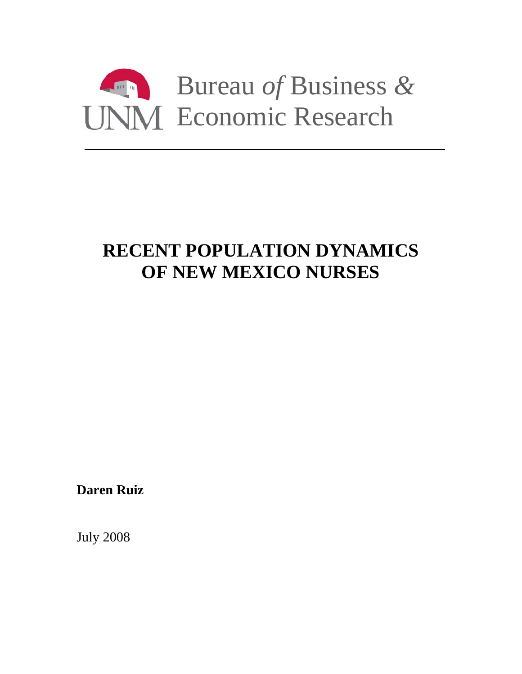

# **RECENT POPULATION DYNAMICS OF NEW MEXICO NURSES**

**Daren Ruiz** 

July 2008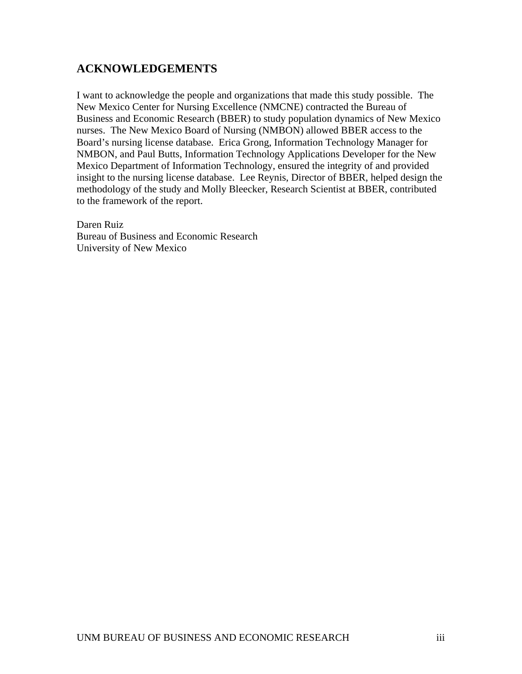# <span id="page-3-0"></span>**ACKNOWLEDGEMENTS**

I want to acknowledge the people and organizations that made this study possible. The New Mexico Center for Nursing Excellence (NMCNE) contracted the Bureau of Business and Economic Research (BBER) to study population dynamics of New Mexico nurses. The New Mexico Board of Nursing (NMBON) allowed BBER access to the Board's nursing license database. Erica Grong, Information Technology Manager for NMBON, and Paul Butts, Information Technology Applications Developer for the New Mexico Department of Information Technology, ensured the integrity of and provided insight to the nursing license database. Lee Reynis, Director of BBER, helped design the methodology of the study and Molly Bleecker, Research Scientist at BBER, contributed to the framework of the report.

Daren Ruiz Bureau of Business and Economic Research University of New Mexico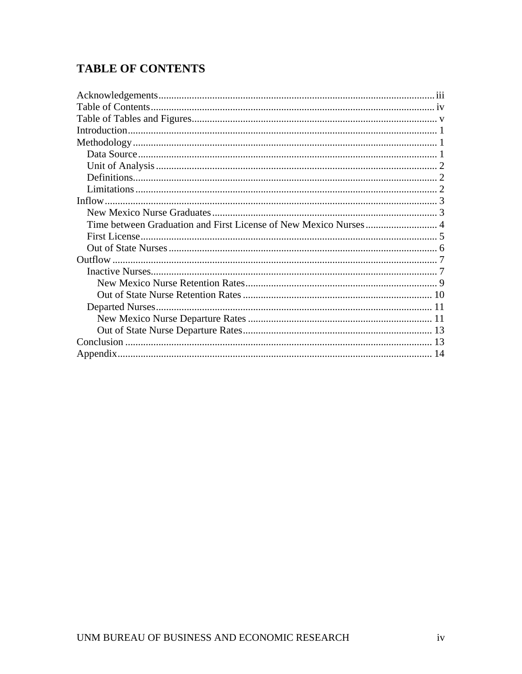# <span id="page-4-0"></span>**TABLE OF CONTENTS**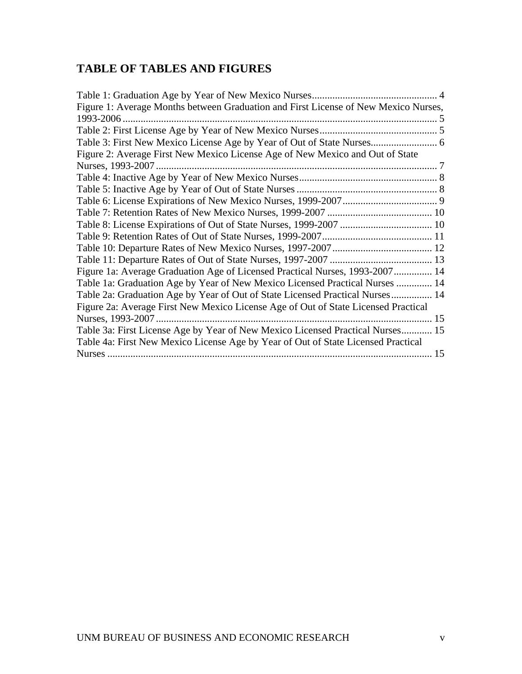# <span id="page-5-0"></span>**TABLE OF TABLES AND FIGURES**

| Figure 1: Average Months between Graduation and First License of New Mexico Nurses, |  |
|-------------------------------------------------------------------------------------|--|
|                                                                                     |  |
|                                                                                     |  |
|                                                                                     |  |
| Figure 2: Average First New Mexico License Age of New Mexico and Out of State       |  |
|                                                                                     |  |
|                                                                                     |  |
|                                                                                     |  |
|                                                                                     |  |
|                                                                                     |  |
|                                                                                     |  |
|                                                                                     |  |
|                                                                                     |  |
|                                                                                     |  |
| Figure 1a: Average Graduation Age of Licensed Practical Nurses, 1993-2007 14        |  |
| Table 1a: Graduation Age by Year of New Mexico Licensed Practical Nurses  14        |  |
| Table 2a: Graduation Age by Year of Out of State Licensed Practical Nurses 14       |  |
| Figure 2a: Average First New Mexico License Age of Out of State Licensed Practical  |  |
| Nurses, 1993-2007                                                                   |  |
| Table 3a: First License Age by Year of New Mexico Licensed Practical Nurses 15      |  |
| Table 4a: First New Mexico License Age by Year of Out of State Licensed Practical   |  |
|                                                                                     |  |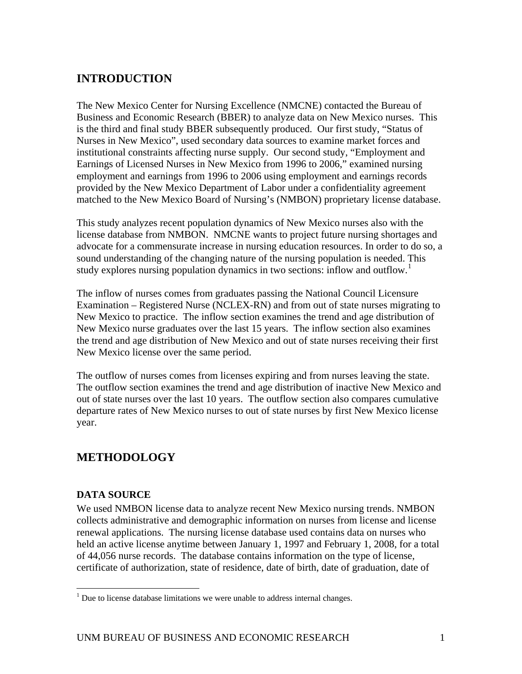# <span id="page-6-0"></span>**INTRODUCTION**

The New Mexico Center for Nursing Excellence (NMCNE) contacted the Bureau of Business and Economic Research (BBER) to analyze data on New Mexico nurses. This is the third and final study BBER subsequently produced. Our first study, "Status of Nurses in New Mexico", used secondary data sources to examine market forces and institutional constraints affecting nurse supply. Our second study, "Employment and Earnings of Licensed Nurses in New Mexico from 1996 to 2006," examined nursing employment and earnings from 1996 to 2006 using employment and earnings records provided by the New Mexico Department of Labor under a confidentiality agreement matched to the New Mexico Board of Nursing's (NMBON) proprietary license database.

This study analyzes recent population dynamics of New Mexico nurses also with the license database from NMBON. NMCNE wants to project future nursing shortages and advocate for a commensurate increase in nursing education resources. In order to do so, a sound understanding of the changing nature of the nursing population is needed. This study explores nursing population dynamics in two sections: inflow and outflow.<sup>[1](#page-6-1)</sup>

The inflow of nurses comes from graduates passing the National Council Licensure Examination – Registered Nurse (NCLEX-RN) and from out of state nurses migrating to New Mexico to practice. The inflow section examines the trend and age distribution of New Mexico nurse graduates over the last 15 years. The inflow section also examines the trend and age distribution of New Mexico and out of state nurses receiving their first New Mexico license over the same period.

The outflow of nurses comes from licenses expiring and from nurses leaving the state. The outflow section examines the trend and age distribution of inactive New Mexico and out of state nurses over the last 10 years. The outflow section also compares cumulative departure rates of New Mexico nurses to out of state nurses by first New Mexico license year.

# **METHODOLOGY**

## **DATA SOURCE**

We used NMBON license data to analyze recent New Mexico nursing trends. NMBON collects administrative and demographic information on nurses from license and license renewal applications. The nursing license database used contains data on nurses who held an active license anytime between January 1, 1997 and February 1, 2008, for a total of 44,056 nurse records. The database contains information on the type of license, certificate of authorization, state of residence, date of birth, date of graduation, date of

<span id="page-6-1"></span> 1 Due to license database limitations we were unable to address internal changes.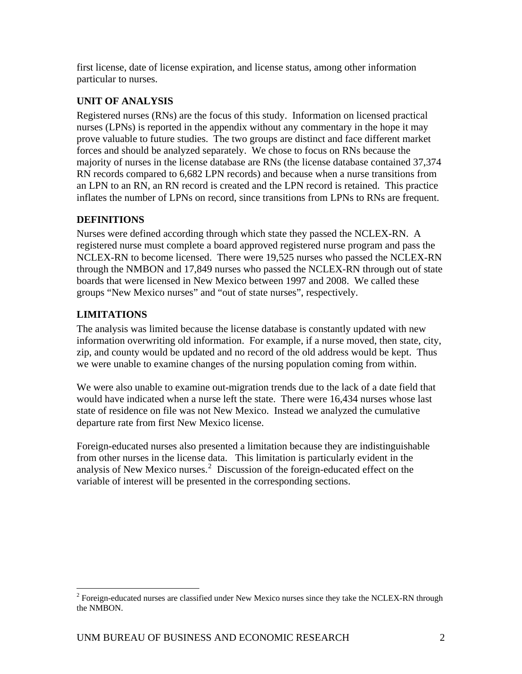<span id="page-7-0"></span>first license, date of license expiration, and license status, among other information particular to nurses.

## **UNIT OF ANALYSIS**

Registered nurses (RNs) are the focus of this study. Information on licensed practical nurses (LPNs) is reported in the appendix without any commentary in the hope it may prove valuable to future studies. The two groups are distinct and face different market forces and should be analyzed separately. We chose to focus on RNs because the majority of nurses in the license database are RNs (the license database contained 37,374 RN records compared to 6,682 LPN records) and because when a nurse transitions from an LPN to an RN, an RN record is created and the LPN record is retained. This practice inflates the number of LPNs on record, since transitions from LPNs to RNs are frequent.

# **DEFINITIONS**

Nurses were defined according through which state they passed the NCLEX-RN. A registered nurse must complete a board approved registered nurse program and pass the NCLEX-RN to become licensed. There were 19,525 nurses who passed the NCLEX-RN through the NMBON and 17,849 nurses who passed the NCLEX-RN through out of state boards that were licensed in New Mexico between 1997 and 2008. We called these groups "New Mexico nurses" and "out of state nurses", respectively.

# **LIMITATIONS**

The analysis was limited because the license database is constantly updated with new information overwriting old information. For example, if a nurse moved, then state, city, zip, and county would be updated and no record of the old address would be kept. Thus we were unable to examine changes of the nursing population coming from within.

We were also unable to examine out-migration trends due to the lack of a date field that would have indicated when a nurse left the state. There were 16,434 nurses whose last state of residence on file was not New Mexico. Instead we analyzed the cumulative departure rate from first New Mexico license.

Foreign-educated nurses also presented a limitation because they are indistinguishable from other nurses in the license data. This limitation is particularly evident in the analysis of New Mexico nurses. $2$  Discussion of the foreign-educated effect on the variable of interest will be presented in the corresponding sections.

<span id="page-7-1"></span><sup>&</sup>lt;sup>2</sup> Foreign-educated nurses are classified under New Mexico nurses since they take the NCLEX-RN through the NMBON.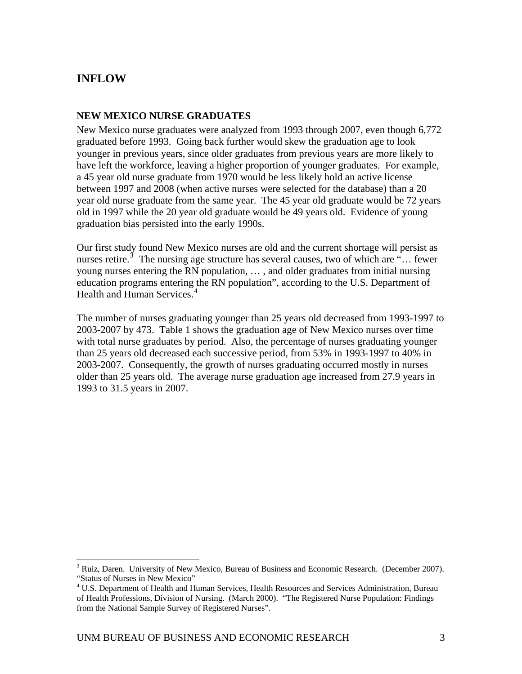# <span id="page-8-0"></span>**INFLOW**

 $\overline{a}$ 

### **NEW MEXICO NURSE GRADUATES**

New Mexico nurse graduates were analyzed from 1993 through 2007, even though 6,772 graduated before 1993. Going back further would skew the graduation age to look younger in previous years, since older graduates from previous years are more likely to have left the workforce, leaving a higher proportion of younger graduates. For example, a 45 year old nurse graduate from 1970 would be less likely hold an active license between 1997 and 2008 (when active nurses were selected for the database) than a 20 year old nurse graduate from the same year. The 45 year old graduate would be 72 years old in 1997 while the 20 year old graduate would be 49 years old. Evidence of young graduation bias persisted into the early 1990s.

Our first study found New Mexico nurses are old and the current shortage will persist as nurses retire.<sup>[3](#page-8-1)</sup> The nursing age structure has several causes, two of which are "... fewer young nurses entering the RN population, … , and older graduates from initial nursing education programs entering the RN population", according to the U.S. Department of Health and Human Services.<sup>[4](#page-8-2)</sup>

The number of nurses graduating younger than 25 years old decreased from 1993-1997 to 2003-2007 by 473. Table 1 shows the graduation age of New Mexico nurses over time with total nurse graduates by period. Also, the percentage of nurses graduating younger than 25 years old decreased each successive period, from 53% in 1993-1997 to 40% in 2003-2007. Consequently, the growth of nurses graduating occurred mostly in nurses older than 25 years old. The average nurse graduation age increased from 27.9 years in 1993 to 31.5 years in 2007.

<span id="page-8-1"></span> $3$  Ruiz, Daren. University of New Mexico, Bureau of Business and Economic Research. (December 2007). "Status of Nurses in New Mexico"

<span id="page-8-2"></span><sup>&</sup>lt;sup>4</sup> U.S. Department of Health and Human Services, Health Resources and Services Administration, Bureau of Health Professions, Division of Nursing. (March 2000). "The Registered Nurse Population: Findings from the National Sample Survey of Registered Nurses".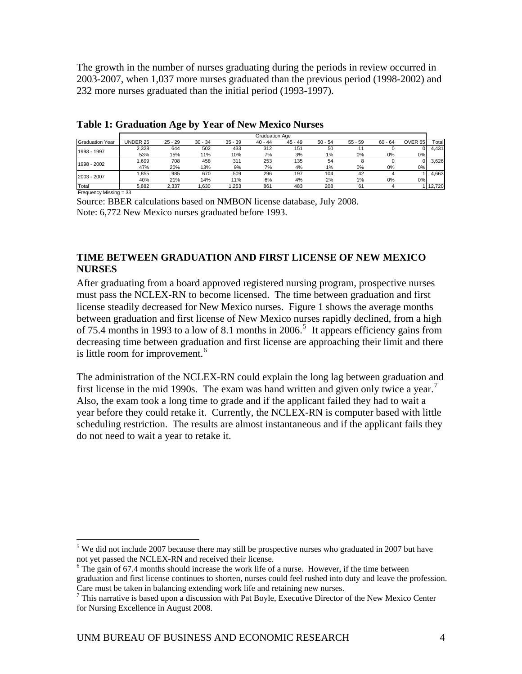<span id="page-9-0"></span>The growth in the number of nurses graduating during the periods in review occurred in 2003-2007, when 1,037 more nurses graduated than the previous period (1998-2002) and 232 more nurses graduated than the initial period (1993-1997).

|                        |          |           |           |           | Graduation Age |           |           |           |           |                    |        |
|------------------------|----------|-----------|-----------|-----------|----------------|-----------|-----------|-----------|-----------|--------------------|--------|
| <b>Graduation Year</b> | UNDER 25 | $25 - 29$ | $30 - 34$ | $35 - 39$ | $40 - 44$      | $45 - 49$ | $50 - 54$ | $55 - 59$ | $60 - 64$ | OVER <sub>65</sub> | Total  |
|                        | 2.328    | 644       | 502       | 433       | 312            | 151       | 50        |           |           |                    | 4.431  |
| 1993 - 1997            | 53%      | 15%       | 11%       | 10%       | 7%             | 3%        | $1\%$     | 0%        | 0%        | 0%                 |        |
| 1998 - 2002            | .699     | 708       | 458       | 311       | 253            | 135       | 54        | 8         |           |                    | 3.626  |
|                        | 47%      | 20%       | 13%       | 9%        | 7%             | 4%        | $1\%$     | 0%        | 0%        | 0%                 |        |
| 2003 - 2007            | .855     | 985       | 670       | 509       | 296            | 197       | 104       | 42        |           |                    | 4.663  |
|                        | 40%      | 21%       | 14%       | 11%       | 6%             | 4%        | 2%        | 1%        | 0%        | 0%                 |        |
| Total                  | 5.882    | 2.337     | .630      | .253      | 861            | 483       | 208       | 61        |           |                    | 12.720 |

#### **Table 1: Graduation Age by Year of New Mexico Nurses**

Frequency Missing = 33

 $\overline{a}$ 

Source: BBER calculations based on NMBON license database, July 2008. Note: 6,772 New Mexico nurses graduated before 1993.

## **TIME BETWEEN GRADUATION AND FIRST LICENSE OF NEW MEXICO NURSES**

After graduating from a board approved registered nursing program, prospective nurses must pass the NCLEX-RN to become licensed. The time between graduation and first license steadily decreased for New Mexico nurses. Figure 1 shows the average months between graduation and first license of New Mexico nurses rapidly declined, from a high of 7[5](#page-9-1).4 months in 1993 to a low of 8.1 months in  $2006$ <sup>5</sup>. It appears efficiency gains from decreasing time between graduation and first license are approaching their limit and there is little room for improvement.<sup>[6](#page-9-2)</sup>

The administration of the NCLEX-RN could explain the long lag between graduation and first license in the mid 1990s. The exam was hand written and given only twice a year.<sup>[7](#page-9-3)</sup> Also, the exam took a long time to grade and if the applicant failed they had to wait a year before they could retake it. Currently, the NCLEX-RN is computer based with little scheduling restriction. The results are almost instantaneous and if the applicant fails they do not need to wait a year to retake it.

<span id="page-9-1"></span> $5$  We did not include 2007 because there may still be prospective nurses who graduated in 2007 but have not yet passed the NCLEX-RN and received their license.

<span id="page-9-2"></span> $6$  The gain of 67.4 months should increase the work life of a nurse. However, if the time between graduation and first license continues to shorten, nurses could feel rushed into duty and leave the profession. Care must be taken in balancing extending work life and retaining new nurses.

<span id="page-9-3"></span> $7$  This narrative is based upon a discussion with Pat Boyle, Executive Director of the New Mexico Center for Nursing Excellence in August 2008.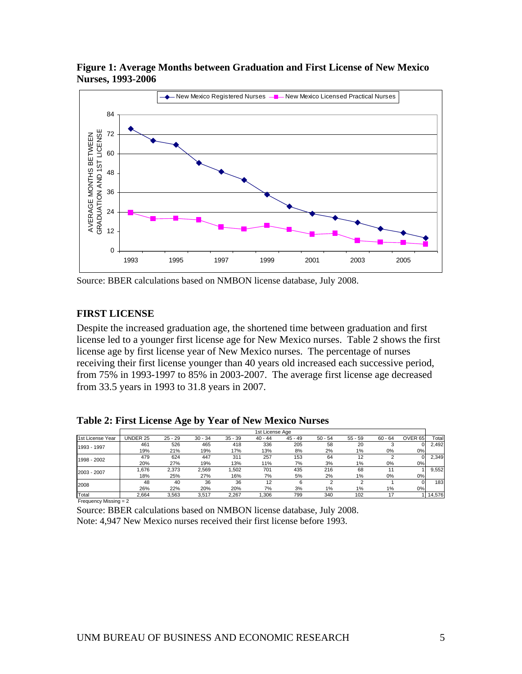

<span id="page-10-0"></span>**Figure 1: Average Months between Graduation and First License of New Mexico Nurses, 1993-2006** 

Source: BBER calculations based on NMBON license database, July 2008.

#### **FIRST LICENSE**

Despite the increased graduation age, the shortened time between graduation and first license led to a younger first license age for New Mexico nurses. Table 2 shows the first license age by first license year of New Mexico nurses. The percentage of nurses receiving their first license younger than 40 years old increased each successive period, from 75% in 1993-1997 to 85% in 2003-2007. The average first license age decreased from 33.5 years in 1993 to 31.8 years in 2007.

**Table 2: First License Age by Year of New Mexico Nurses** 

|                  |          |           |           |           | 1st License Age |           |           |           |           |         |        |
|------------------|----------|-----------|-----------|-----------|-----------------|-----------|-----------|-----------|-----------|---------|--------|
| 1st License Year | UNDER 25 | $25 - 29$ | $30 - 34$ | $35 - 39$ | $40 - 44$       | $45 - 49$ | $50 - 54$ | $55 - 59$ | $60 - 64$ | OVER 65 | Total  |
| 1993 - 1997      | 461      | 526       | 465       | 418       | 336             | 205       | 58        | 20        |           |         | 2.492  |
|                  | 19%      | 21%       | 19%       | 17%       | 13%             | 8%        | 2%        | 1%        | 0%        | $0\%$   |        |
| 1998 - 2002      | 479      | 624       | 447       | 311       | 257             | 153       | 64        | 12        |           | 01      | 2.349  |
|                  | 20%      | 27%       | 19%       | 13%       | 11%             | 7%        | 3%        | $1\%$     | 0%        | $0\%$   |        |
| 2003 - 2007      | .676     | 2,373     | 2,569     | 1,502     | 701             | 435       | 216       | 68        |           |         | 9.552  |
|                  | 18%      | 25%       | 27%       | 16%       | 7%              | 5%        | 2%        | $1\%$     | 0%        | $0\%$   |        |
| 2008             | 48       | 40        | 36        | 36        | 12              | 6         |           |           |           | 01      | 183    |
|                  | 26%      | 22%       | 20%       | 20%       | 7%              | 3%        | 1%        | 1%        | 1%        | 0%      |        |
| Total            | 2.664    | 3.563     | 3.517     | 2.267     | .306            | 799       | 340       | 102       | 17        |         | 14,576 |

Frequency Missing = 2

Source: BBER calculations based on NMBON license database, July 2008. Note: 4,947 New Mexico nurses received their first license before 1993.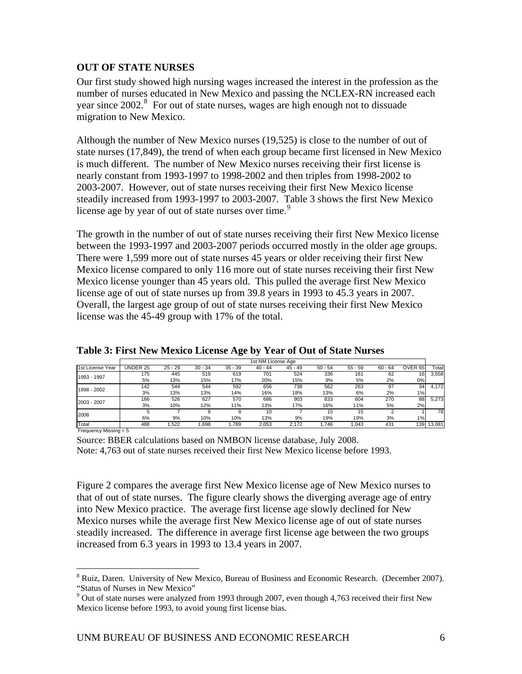## <span id="page-11-0"></span>**OUT OF STATE NURSES**

Our first study showed high nursing wages increased the interest in the profession as the number of nurses educated in New Mexico and passing the NCLEX-RN increased each year since  $2002$ .<sup>[8](#page-11-1)</sup> For out of state nurses, wages are high enough not to dissuade migration to New Mexico.

Although the number of New Mexico nurses (19,525) is close to the number of out of state nurses (17,849), the trend of when each group became first licensed in New Mexico is much different. The number of New Mexico nurses receiving their first license is nearly constant from 1993-1997 to 1998-2002 and then triples from 1998-2002 to 2003-2007. However, out of state nurses receiving their first New Mexico license steadily increased from 1993-1997 to 2003-2007. Table 3 shows the first New Mexico license age by year of out of state nurses over time.<sup>[9](#page-11-2)</sup>

The growth in the number of out of state nurses receiving their first New Mexico license between the 1993-1997 and 2003-2007 periods occurred mostly in the older age groups. There were 1,599 more out of state nurses 45 years or older receiving their first New Mexico license compared to only 116 more out of state nurses receiving their first New Mexico license younger than 45 years old. This pulled the average first New Mexico license age of out of state nurses up from 39.8 years in 1993 to 45.3 years in 2007. Overall, the largest age group of out of state nurses receiving their first New Mexico license was the 45-49 group with 17% of the total.

|                  |          |           |           |           | 1st NM License Age |           |           |           |           |                    |            |
|------------------|----------|-----------|-----------|-----------|--------------------|-----------|-----------|-----------|-----------|--------------------|------------|
| 1st License Year | UNDER 25 | $25 - 29$ | $30 - 34$ | $35 - 39$ | $40 - 44$          | $45 - 49$ | $50 - 54$ | $55 - 59$ | $60 - 64$ | OVER <sub>65</sub> | Totall     |
| 1993 - 1997      | 175      | 445       | 519       | 619       | 701                | 524       | 336       | 161       | 62        | 16                 | 3.558      |
|                  | 5%       | 13%       | 15%       | 17%       | 20%                | 15%       | 9%        | 5%        | 2%        | 0%                 |            |
| 1998 - 2002      | 142      | 544       | 544       | 592       | 656                | 738       | 562       | 263       | 97        | 34                 | 4.172      |
|                  | 3%       | 13%       | 13%       | 14%       | 16%                | 18%       | 13%       | 6%        | 2%        | $1\%$              |            |
| 2003 - 2007      | 166      | 526       | 627       | 570       | 686                | 903       | 833       | 604       | 270       | 88                 | 5.273      |
|                  | 3%       | 10%       | 12%       | 11%       | 13%                | 17%       | 16%       | 11%       | 5%        | 2%                 |            |
| 2008             | 5        |           |           |           | 10                 |           | 15        | 15        | າ         |                    | 78         |
|                  | 6%       | 9%        | 10%       | 10%       | 13%                | 9%        | 19%       | 19%       | 3%        | 1%                 |            |
| Total            | 488      | .522      | .698      | .789      | 2,053              | 2.172     | .746      | 1.043     | 431       |                    | 139 13,081 |

**Table 3: First New Mexico License Age by Year of Out of State Nurses** 

Frequency Missing = 5

 $\overline{a}$ 

Source: BBER calculations based on NMBON license database, July 2008. Note: 4,763 out of state nurses received their first New Mexico license before 1993.

Figure 2 compares the average first New Mexico license age of New Mexico nurses to that of out of state nurses. The figure clearly shows the diverging average age of entry into New Mexico practice. The average first license age slowly declined for New Mexico nurses while the average first New Mexico license age of out of state nurses steadily increased. The difference in average first license age between the two groups increased from 6.3 years in 1993 to 13.4 years in 2007.

<span id="page-11-1"></span><sup>&</sup>lt;sup>8</sup> Ruiz, Daren. University of New Mexico, Bureau of Business and Economic Research. (December 2007). "Status of Nurses in New Mexico"

<span id="page-11-2"></span> $9$  Out of state nurses were analyzed from 1993 through 2007, even though 4,763 received their first New Mexico license before 1993, to avoid young first license bias.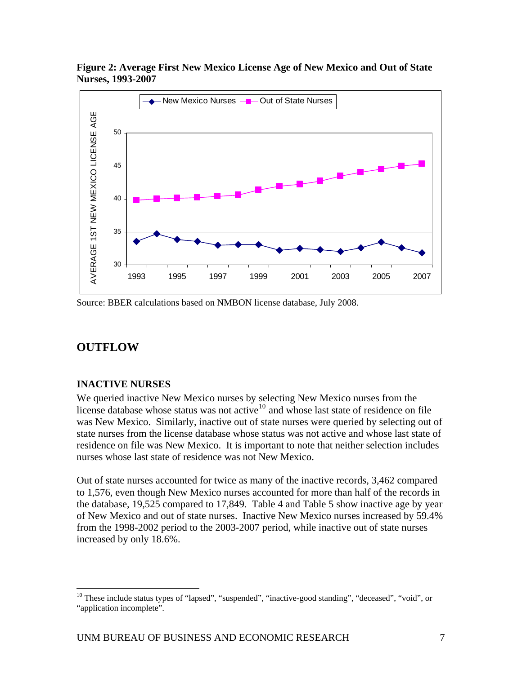

<span id="page-12-0"></span>**Figure 2: Average First New Mexico License Age of New Mexico and Out of State Nurses, 1993-2007** 

Source: BBER calculations based on NMBON license database, July 2008.

# **OUTFLOW**

 $\overline{a}$ 

## **INACTIVE NURSES**

We queried inactive New Mexico nurses by selecting New Mexico nurses from the license database whose status was not active<sup>[10](#page-12-1)</sup> and whose last state of residence on file was New Mexico. Similarly, inactive out of state nurses were queried by selecting out of state nurses from the license database whose status was not active and whose last state of residence on file was New Mexico. It is important to note that neither selection includes nurses whose last state of residence was not New Mexico.

Out of state nurses accounted for twice as many of the inactive records, 3,462 compared to 1,576, even though New Mexico nurses accounted for more than half of the records in the database, 19,525 compared to 17,849. Table 4 and Table 5 show inactive age by year of New Mexico and out of state nurses. Inactive New Mexico nurses increased by 59.4% from the 1998-2002 period to the 2003-2007 period, while inactive out of state nurses increased by only 18.6%.

<span id="page-12-1"></span><sup>&</sup>lt;sup>10</sup> These include status types of "lapsed", "suspended", "inactive-good standing", "deceased", "void", or "application incomplete".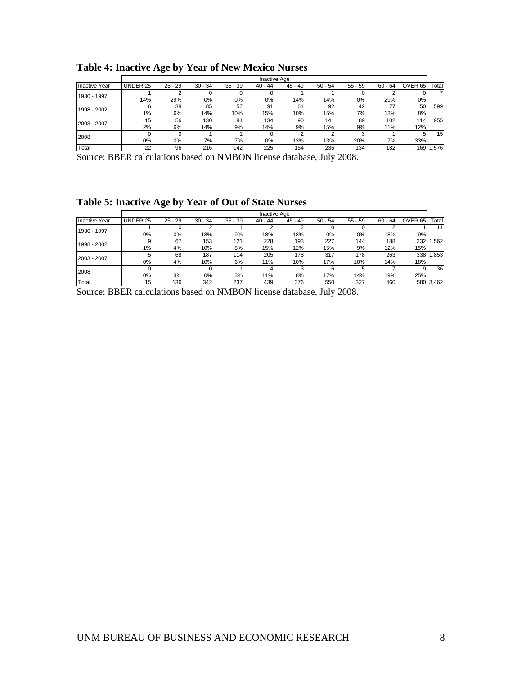|                      |          |           |           |           | Inactive Age |           |           |           |           |         |           |
|----------------------|----------|-----------|-----------|-----------|--------------|-----------|-----------|-----------|-----------|---------|-----------|
| <b>Inactive Year</b> | UNDER 25 | $25 - 29$ | $30 - 34$ | $35 - 39$ | $40 - 44$    | $45 - 49$ | $50 - 54$ | $55 - 59$ | $60 - 64$ | OVER 65 | Total     |
| 1930 - 1997          |          |           |           |           |              |           |           |           |           |         |           |
|                      | 14%      | 29%       | 0%        | 0%        | 0%           | 14%       | 14%       | $0\%$     | 29%       | 0%      |           |
| 1998 - 2002          |          | 38        | 85        | 57        | 91           | 61        | 92        | 42        | 77        | 50      | 599       |
|                      | 1%       | 6%        | 14%       | 10%       | 15%          | 10%       | 15%       | 7%        | 13%       | 8%      |           |
| 2003 - 2007          | 15       | 56        | 130       | 84        | 134          | 90        | 141       | 89        | 102       | 1141    | 955       |
|                      | 2%       | 6%        | 14%       | 9%        | 14%          | 9%        | 15%       | 9%        | 11%       | 12%     |           |
| 2008                 |          |           |           |           |              |           |           |           |           | 5       | 15        |
|                      | $0\%$    | $0\%$     | 7%        | 7%        | $0\%$        | 13%       | 13%       | 20%       | 7%        | 33%     |           |
| Total                | 22       | 96        | 216       | 142       | 225          | 154       | 236       | 134       | 182       |         | 169 1,576 |

# <span id="page-13-0"></span>**Table 4: Inactive Age by Year of New Mexico Nurses**

Source: BBER calculations based on NMBON license database, July 2008.

# **Table 5: Inactive Age by Year of Out of State Nurses**

|                      |          |           |           |           | Inactive Age |           |           |           |           |                    |           |
|----------------------|----------|-----------|-----------|-----------|--------------|-----------|-----------|-----------|-----------|--------------------|-----------|
| <b>Inactive Year</b> | UNDER 25 | $25 - 29$ | $30 - 34$ | $35 - 39$ | $40 - 44$    | $45 - 49$ | $50 - 54$ | $55 - 59$ | $60 - 64$ | OVER <sub>65</sub> | Total     |
| 1930 - 1997          |          |           |           |           |              |           |           |           |           |                    | 11        |
|                      | 9%       | $0\%$     | 18%       | 9%        | 18%          | 18%       | $0\%$     | 0%        | 18%       | 9%                 |           |
| 1998 - 2002          | 9        | 67        | 153       | 121       | 228          | 193       | 227       | 144       | 188       | 232                | 1,562     |
|                      | 1%       | 4%        | 10%       | 8%        | 15%          | 12%       | 15%       | 9%        | 12%       | 15%                |           |
| 2003 - 2007          | 5        | 68        | 187       | 114       | 205          | 178       | 317       | 178       | 263       | 338                | 1,853     |
|                      | $0\%$    | 4%        | 10%       | 6%        | 11%          | 10%       | 17%       | 10%       | 14%       | 18%                |           |
| 2008                 |          |           |           |           |              |           | 6         | 5         |           |                    | 36        |
|                      | $0\%$    | 3%        | $0\%$     | 3%        | 11%          | 8%        | 17%       | 14%       | 19%       | 25%                |           |
| Total                | 15       | 136       | 342       | 237       | 439          | 376       | 550       | 327       | 460       |                    | 580 3,462 |

Source: BBER calculations based on NMBON license database, July 2008.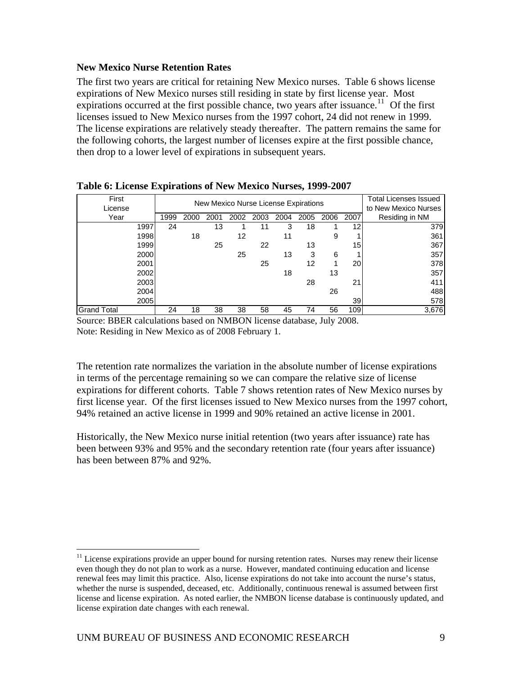## <span id="page-14-0"></span>**New Mexico Nurse Retention Rates**

The first two years are critical for retaining New Mexico nurses. Table 6 shows license expirations of New Mexico nurses still residing in state by first license year. Most expirations occurred at the first possible chance, two years after issuance.<sup>[11](#page-14-1)</sup> Of the first licenses issued to New Mexico nurses from the 1997 cohort, 24 did not renew in 1999. The license expirations are relatively steady thereafter. The pattern remains the same for the following cohorts, the largest number of licenses expire at the first possible chance, then drop to a lower level of expirations in subsequent years.

| First<br>License   | New Mexico Nurse License Expirations |      |      |      |      |      |      |      |                 | <b>Total Licenses Issued</b><br>to New Mexico Nurses |
|--------------------|--------------------------------------|------|------|------|------|------|------|------|-----------------|------------------------------------------------------|
| Year               | 1999                                 | 2000 | 2001 | 2002 | 2003 | 2004 | 2005 | 2006 | 2007            | Residing in NM                                       |
| 1997               | 24                                   |      | 13   |      | 11   | 3    | 18   |      | 12              | 379                                                  |
| 1998               |                                      | 18   |      | 12   |      | 11   |      | 9    |                 | 361                                                  |
| 1999               |                                      |      | 25   |      | 22   |      | 13   |      | 15 <sup>1</sup> | 367                                                  |
| 2000               |                                      |      |      | 25   |      | 13   | 3    | 6    |                 | 357                                                  |
| 2001               |                                      |      |      |      | 25   |      | 12   | 1    | 20l             | 378                                                  |
| 2002               |                                      |      |      |      |      | 18   |      | 13   |                 | 357                                                  |
| 2003               |                                      |      |      |      |      |      | 28   |      | 21              | 411                                                  |
| 2004               |                                      |      |      |      |      |      |      | 26   |                 | 488                                                  |
| 2005               |                                      |      |      |      |      |      |      |      | 39              | 578                                                  |
| <b>Grand Total</b> | 24                                   | 18   | 38   | 38   | 58   | 45   | 74   | 56   | 109             | 3,676                                                |

**Table 6: License Expirations of New Mexico Nurses, 1999-2007** 

Source: BBER calculations based on NMBON license database, July 2008. Note: Residing in New Mexico as of 2008 February 1.

The retention rate normalizes the variation in the absolute number of license expirations in terms of the percentage remaining so we can compare the relative size of license expirations for different cohorts. Table 7 shows retention rates of New Mexico nurses by first license year. Of the first licenses issued to New Mexico nurses from the 1997 cohort, 94% retained an active license in 1999 and 90% retained an active license in 2001.

Historically, the New Mexico nurse initial retention (two years after issuance) rate has been between 93% and 95% and the secondary retention rate (four years after issuance) has been between 87% and 92%.

 $\overline{a}$ 

<span id="page-14-1"></span> $11$  License expirations provide an upper bound for nursing retention rates. Nurses may renew their license even though they do not plan to work as a nurse. However, mandated continuing education and license renewal fees may limit this practice. Also, license expirations do not take into account the nurse's status, whether the nurse is suspended, deceased, etc. Additionally, continuous renewal is assumed between first license and license expiration. As noted earlier, the NMBON license database is continuously updated, and license expiration date changes with each renewal.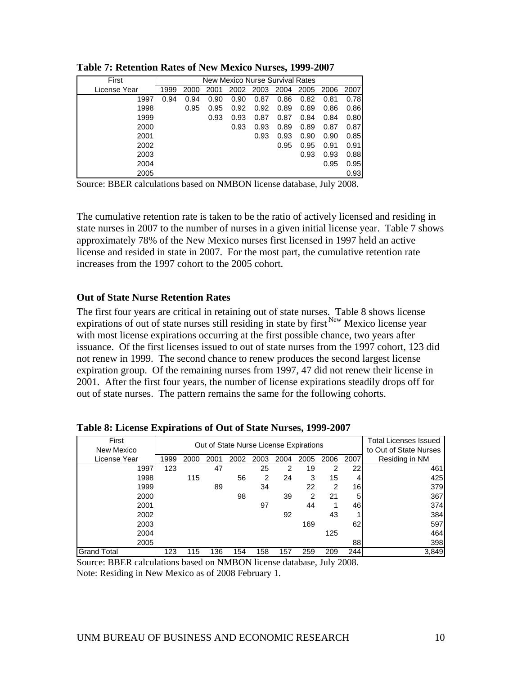| First        |      | New Mexico Nurse Survival Rates |      |      |      |      |      |      |      |  |  |
|--------------|------|---------------------------------|------|------|------|------|------|------|------|--|--|
| License Year | 1999 | 2000                            | 2001 | 2002 | 2003 | 2004 | 2005 | 2006 | 2007 |  |  |
| 1997         | 0.94 | 0.94                            | 0.90 | 0.90 | 0.87 | 0.86 | 0.82 | 0.81 | 0.78 |  |  |
| 1998         |      | 0.95                            | 0.95 | 0.92 | 0.92 | 0.89 | 0.89 | 0.86 | 0.86 |  |  |
| 1999         |      |                                 | 0.93 | 0.93 | 0.87 | 0.87 | 0.84 | 0.84 | 0.80 |  |  |
| 2000         |      |                                 |      | 0.93 | 0.93 | 0.89 | 0.89 | 0.87 | 0.87 |  |  |
| 2001         |      |                                 |      |      | 0.93 | 0.93 | 0.90 | 0.90 | 0.85 |  |  |
| 2002         |      |                                 |      |      |      | 0.95 | 0.95 | 0.91 | 0.91 |  |  |
| 2003         |      |                                 |      |      |      |      | 0.93 | 0.93 | 0.88 |  |  |
| 2004         |      |                                 |      |      |      |      |      | 0.95 | 0.95 |  |  |
| 2005         |      |                                 |      |      |      |      |      |      | 0.93 |  |  |

<span id="page-15-0"></span>**Table 7: Retention Rates of New Mexico Nurses, 1999-2007** 

Source: BBER calculations based on NMBON license database, July 2008.

The cumulative retention rate is taken to be the ratio of actively licensed and residing in state nurses in 2007 to the number of nurses in a given initial license year. Table 7 shows approximately 78% of the New Mexico nurses first licensed in 1997 held an active license and resided in state in 2007. For the most part, the cumulative retention rate increases from the 1997 cohort to the 2005 cohort.

#### **Out of State Nurse Retention Rates**

The first four years are critical in retaining out of state nurses. Table 8 shows license expirations of out of state nurses still residing in state by first <sup>New</sup> Mexico license year with most license expirations occurring at the first possible chance, two years after issuance. Of the first licenses issued to out of state nurses from the 1997 cohort, 123 did not renew in 1999. The second chance to renew produces the second largest license expiration group. Of the remaining nurses from 1997, 47 did not renew their license in 2001. After the first four years, the number of license expirations steadily drops off for out of state nurses. The pattern remains the same for the following cohorts.

| First<br>New Mexico |      |      | Out of State Nurse License Expirations |      | Total Licenses Issued<br>to Out of State Nurses |      |      |      |      |                |
|---------------------|------|------|----------------------------------------|------|-------------------------------------------------|------|------|------|------|----------------|
| License Year        | 1999 | 2000 | 2001                                   | 2002 | 2003                                            | 2004 | 2005 | 2006 | 2007 | Residing in NM |
| 1997                | 123  |      | 47                                     |      | 25                                              | 2    | 19   | 2    | 22   | 461            |
| 1998                |      | 115  |                                        | 56   | 2                                               | 24   | 3    | 15   | 4    | 425            |
| 1999                |      |      | 89                                     |      | 34                                              |      | 22   | 2    | 16   | 379            |
| 2000                |      |      |                                        | 98   |                                                 | 39   | 2    | 21   | 5    | 367            |
| 2001                |      |      |                                        |      | 97                                              |      | 44   |      | 46   | 374            |
| 2002                |      |      |                                        |      |                                                 | 92   |      | 43   |      | 384            |
| 2003                |      |      |                                        |      |                                                 |      | 169  |      | 62   | 597            |
| 2004                |      |      |                                        |      |                                                 |      |      | 125  |      | 464            |
| 2005                |      |      |                                        |      |                                                 |      |      |      | 88   | 398            |
| <b>Grand Total</b>  | 123  | 115  | 136                                    | 154  | 158                                             | 157  | 259  | 209  | 244  | 3,849          |

**Table 8: License Expirations of Out of State Nurses, 1999-2007** 

Source: BBER calculations based on NMBON license database, July 2008. Note: Residing in New Mexico as of 2008 February 1.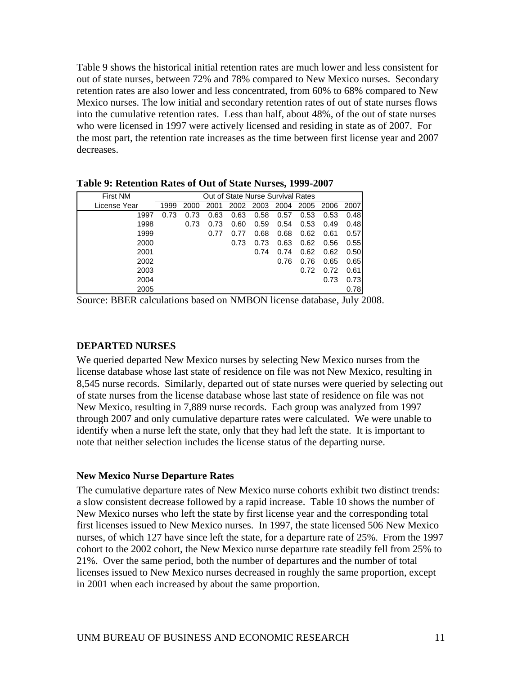<span id="page-16-0"></span>Table 9 shows the historical initial retention rates are much lower and less consistent for out of state nurses, between 72% and 78% compared to New Mexico nurses. Secondary retention rates are also lower and less concentrated, from 60% to 68% compared to New Mexico nurses. The low initial and secondary retention rates of out of state nurses flows into the cumulative retention rates. Less than half, about 48%, of the out of state nurses who were licensed in 1997 were actively licensed and residing in state as of 2007. For the most part, the retention rate increases as the time between first license year and 2007 decreases.

| <b>First NM</b> |      | Out of State Nurse Survival Rates |      |      |      |      |      |      |      |  |
|-----------------|------|-----------------------------------|------|------|------|------|------|------|------|--|
| License Year    | 1999 | 2000                              | 2001 | 2002 | 2003 | 2004 | 2005 | 2006 | 2007 |  |
| 1997            | 0.73 | 0.73                              | 0.63 | 0.63 | 0.58 | 0.57 | 0.53 | 0.53 | 0.48 |  |
| 1998            |      | 0.73                              | 0.73 | 0.60 | 0.59 | 0.54 | 0.53 | 0.49 | 0.48 |  |
| 1999            |      |                                   | 0.77 | 0.77 | 0.68 | 0.68 | 0.62 | 0.61 | 0.57 |  |
| 2000            |      |                                   |      | 0.73 | 0.73 | 0.63 | 0.62 | 0.56 | 0.55 |  |
| 2001            |      |                                   |      |      | 0.74 | 0.74 | 0.62 | 0.62 | 0.50 |  |
| 2002            |      |                                   |      |      |      | 0.76 | 0.76 | 0.65 | 0.65 |  |
| 2003            |      |                                   |      |      |      |      | 0.72 | 0.72 | 0.61 |  |
| 2004            |      |                                   |      |      |      |      |      | 0.73 | 0.73 |  |
| 2005            |      |                                   |      |      |      |      |      |      | 0.78 |  |

**Table 9: Retention Rates of Out of State Nurses, 1999-2007** 

Source: BBER calculations based on NMBON license database, July 2008.

#### **DEPARTED NURSES**

We queried departed New Mexico nurses by selecting New Mexico nurses from the license database whose last state of residence on file was not New Mexico, resulting in 8,545 nurse records. Similarly, departed out of state nurses were queried by selecting out of state nurses from the license database whose last state of residence on file was not New Mexico, resulting in 7,889 nurse records. Each group was analyzed from 1997 through 2007 and only cumulative departure rates were calculated. We were unable to identify when a nurse left the state, only that they had left the state. It is important to note that neither selection includes the license status of the departing nurse.

#### **New Mexico Nurse Departure Rates**

The cumulative departure rates of New Mexico nurse cohorts exhibit two distinct trends: a slow consistent decrease followed by a rapid increase. Table 10 shows the number of New Mexico nurses who left the state by first license year and the corresponding total first licenses issued to New Mexico nurses. In 1997, the state licensed 506 New Mexico nurses, of which 127 have since left the state, for a departure rate of 25%. From the 1997 cohort to the 2002 cohort, the New Mexico nurse departure rate steadily fell from 25% to 21%. Over the same period, both the number of departures and the number of total licenses issued to New Mexico nurses decreased in roughly the same proportion, except in 2001 when each increased by about the same proportion.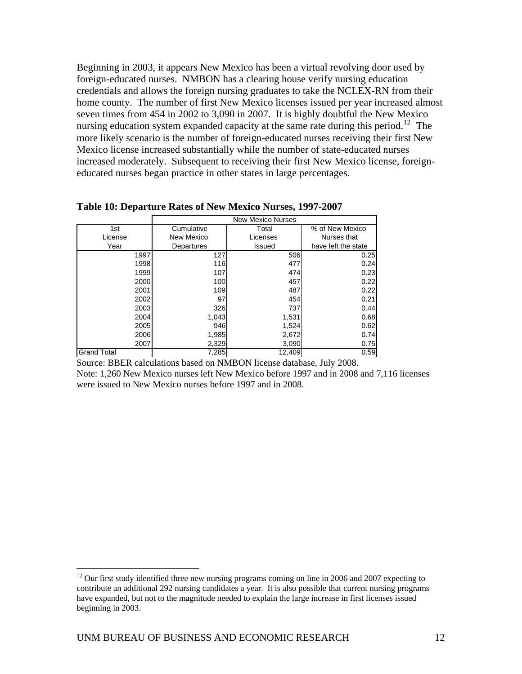<span id="page-17-0"></span>Beginning in 2003, it appears New Mexico has been a virtual revolving door used by foreign-educated nurses. NMBON has a clearing house verify nursing education credentials and allows the foreign nursing graduates to take the NCLEX-RN from their home county. The number of first New Mexico licenses issued per year increased almost seven times from 454 in 2002 to 3,090 in 2007. It is highly doubtful the New Mexico nursing education system expanded capacity at the same rate during this period.<sup>[12](#page-17-1)</sup> The more likely scenario is the number of foreign-educated nurses receiving their first New Mexico license increased substantially while the number of state-educated nurses increased moderately. Subsequent to receiving their first New Mexico license, foreigneducated nurses began practice in other states in large percentages.

|                    | <b>New Mexico Nurses</b> |          |                     |  |  |  |  |  |  |  |
|--------------------|--------------------------|----------|---------------------|--|--|--|--|--|--|--|
| 1st                | Cumulative               | Total    | % of New Mexico     |  |  |  |  |  |  |  |
| License            | New Mexico               | Licenses | Nurses that         |  |  |  |  |  |  |  |
| Year               | Departures               | Issued   | have left the state |  |  |  |  |  |  |  |
| 1997               | 127                      | 506      | 0.25                |  |  |  |  |  |  |  |
| 1998               | 116                      | 477      | 0.24                |  |  |  |  |  |  |  |
| 1999               | 107                      | 474      | 0.23                |  |  |  |  |  |  |  |
| 2000               | 100                      | 457      | 0.22                |  |  |  |  |  |  |  |
| 2001               | 109                      | 487      | 0.22                |  |  |  |  |  |  |  |
| 2002               | 97                       | 454      | 0.21                |  |  |  |  |  |  |  |
| 2003               | 326                      | 737      | 0.44                |  |  |  |  |  |  |  |
| 2004               | 1,043                    | 1,531    | 0.68                |  |  |  |  |  |  |  |
| 2005               | 946                      | 1,524    | 0.62                |  |  |  |  |  |  |  |
| 2006               | 1,985                    | 2,672    | 0.74                |  |  |  |  |  |  |  |
| 2007               | 2,329                    | 3,090    | 0.75                |  |  |  |  |  |  |  |
| <b>Grand Total</b> | 7,285                    | 12,409   | 0.59                |  |  |  |  |  |  |  |

**Table 10: Departure Rates of New Mexico Nurses, 1997-2007** 

Source: BBER calculations based on NMBON license database, July 2008.

Note: 1,260 New Mexico nurses left New Mexico before 1997 and in 2008 and 7,116 licenses were issued to New Mexico nurses before 1997 and in 2008.

 $\overline{a}$ 

<span id="page-17-1"></span> $12$  Our first study identified three new nursing programs coming on line in 2006 and 2007 expecting to contribute an additional 292 nursing candidates a year. It is also possible that current nursing programs have expanded, but not to the magnitude needed to explain the large increase in first licenses issued beginning in 2003.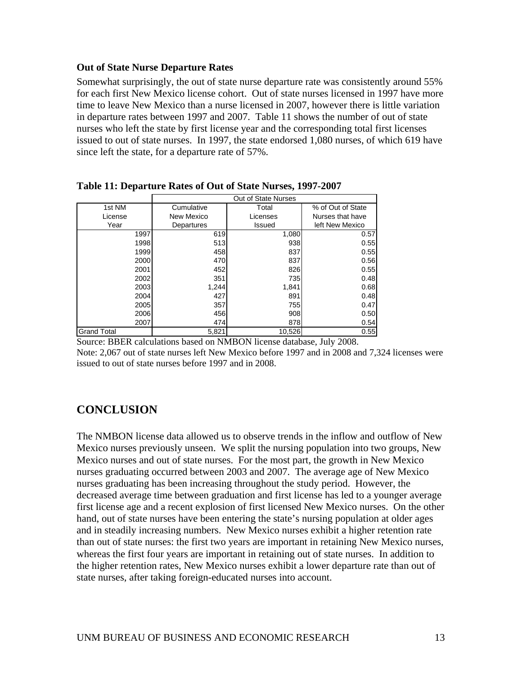## <span id="page-18-0"></span>**Out of State Nurse Departure Rates**

Somewhat surprisingly, the out of state nurse departure rate was consistently around 55% for each first New Mexico license cohort. Out of state nurses licensed in 1997 have more time to leave New Mexico than a nurse licensed in 2007, however there is little variation in departure rates between 1997 and 2007. Table 11 shows the number of out of state nurses who left the state by first license year and the corresponding total first licenses issued to out of state nurses. In 1997, the state endorsed 1,080 nurses, of which 619 have since left the state, for a departure rate of 57%.

|                    |            | Out of State Nurses |                   |
|--------------------|------------|---------------------|-------------------|
| 1st NM             | Cumulative | Total               | % of Out of State |
| License            | New Mexico | Licenses            | Nurses that have  |
| Year               | Departures | <b>Issued</b>       | left New Mexico   |
| 1997               | 619        | 1,080               | 0.57              |
| 1998               | 513        | 938                 | 0.55              |
| 1999               | 458        | 837                 | 0.55              |
| 2000               | 470        | 837                 | 0.56              |
| 2001               | 452        | 826                 | 0.55              |
| 2002               | 351        | 735                 | 0.48              |
| 2003               | 1,244      | 1,841               | 0.68              |
| 2004               | 427        | 891                 | 0.48              |
| 2005               | 357        | 755                 | 0.47              |
| 2006               | 456        | 908                 | 0.50              |
| 2007               | 474        | 878                 | 0.54              |
| <b>Grand Total</b> | 5,821      | 10,526              | 0.55              |

**Table 11: Departure Rates of Out of State Nurses, 1997-2007** 

Source: BBER calculations based on NMBON license database, July 2008.

Note: 2,067 out of state nurses left New Mexico before 1997 and in 2008 and 7,324 licenses were issued to out of state nurses before 1997 and in 2008.

# **CONCLUSION**

The NMBON license data allowed us to observe trends in the inflow and outflow of New Mexico nurses previously unseen. We split the nursing population into two groups, New Mexico nurses and out of state nurses. For the most part, the growth in New Mexico nurses graduating occurred between 2003 and 2007. The average age of New Mexico nurses graduating has been increasing throughout the study period. However, the decreased average time between graduation and first license has led to a younger average first license age and a recent explosion of first licensed New Mexico nurses. On the other hand, out of state nurses have been entering the state's nursing population at older ages and in steadily increasing numbers. New Mexico nurses exhibit a higher retention rate than out of state nurses: the first two years are important in retaining New Mexico nurses, whereas the first four years are important in retaining out of state nurses. In addition to the higher retention rates, New Mexico nurses exhibit a lower departure rate than out of state nurses, after taking foreign-educated nurses into account.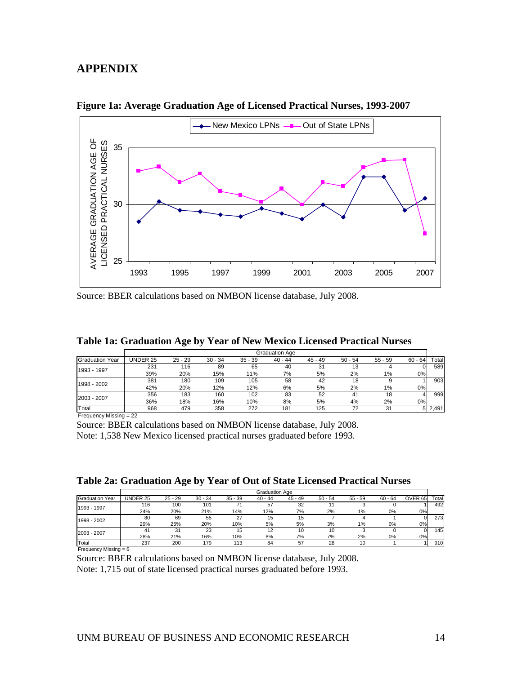# <span id="page-19-0"></span>**APPENDIX**



**Figure 1a: Average Graduation Age of Licensed Practical Nurses, 1993-2007** 

Source: BBER calculations based on NMBON license database, July 2008.

| Table 1a. Graudation Age by Tear of New Mexico Electiscu Fractical Nurses |          |           |           |           |                       |           |           |           |           |       |
|---------------------------------------------------------------------------|----------|-----------|-----------|-----------|-----------------------|-----------|-----------|-----------|-----------|-------|
|                                                                           |          |           |           |           | <b>Graduation Age</b> |           |           |           |           |       |
| <b>Graduation Year</b>                                                    | UNDER 25 | $25 - 29$ | $30 - 34$ | $35 - 39$ | $40 - 44$             | $45 - 49$ | $50 - 54$ | $55 - 59$ | $60 - 64$ | Total |
| 1993 - 1997                                                               | 231      | 116       | 89        | 65        | 40                    | 31        |           |           |           | 589   |
|                                                                           | 39%      | 20%       | 15%       | 11%       | 7%                    | 5%        | 2%        | 1%        | 0%l       |       |
|                                                                           | 381      | 180       | 109       | 105       | 58                    | 42        | 18        |           |           | 903   |
| 1998 - 2002                                                               | 42%      | 20%       | 12%       | 12%       | 6%                    | 5%        | 2%        | 1%        | 0%l       |       |
| 2003 - 2007                                                               | 356      | 183       | 160       | 102       | 83                    | 52        | 41        | 18        |           | 999   |
|                                                                           | 36%      | 18%       | 16%       | 10%       | 8%                    | 5%        | 4%        | 2%        | 0%l       |       |

| Table 1a: Graduation Age by Year of New Mexico Licensed Practical Nurses |  |  |  |
|--------------------------------------------------------------------------|--|--|--|
|                                                                          |  |  |  |

Total 968 479 358 272 181 125 72 31 5 2,491 Frequency Missing = 22

Source: BBER calculations based on NMBON license database, July 2008.

Note: 1,538 New Mexico licensed practical nurses graduated before 1993.

|  |  | Table 2a: Graduation Age by Year of Out of State Licensed Practical Nurses |  |
|--|--|----------------------------------------------------------------------------|--|
|  |  |                                                                            |  |

|                 | <b>Graduation Age</b> |           |           |           |           |           |           |           |           |                    |             |
|-----------------|-----------------------|-----------|-----------|-----------|-----------|-----------|-----------|-----------|-----------|--------------------|-------------|
| Graduation Year | UNDER 25              | $25 - 29$ | $30 - 34$ | $35 - 39$ | $40 - 44$ | $45 - 49$ | $50 - 54$ | $55 - 59$ | $60 - 64$ | OVER <sub>65</sub> | $\tau$ otal |
| 1993 - 1997     | 116                   | 100       | 101       |           | 57        | 32        |           |           |           |                    | 492         |
|                 | 24%                   | 20%       | 21%       | 14%       | 12%       | 7%        | 2%        | $1\%$     | 0%        | 0%                 |             |
| 1998 - 2002     | 80                    | 69        | 55        | 27        | 15        | 15        |           |           |           |                    | 273         |
|                 | 29%                   | 25%       | 20%       | 10%       | 5%        | 5%        | 3%        | 1%        | 0%        | 0%                 |             |
| 2003 - 2007     | 41                    | 31        | 23        | 15        | 12        | 10        | 10        |           |           |                    | 145         |
|                 | 28%                   | 21%       | 16%       | 10%       | 8%        | 7%        | 7%        | 2%        | 0%        | 0%                 |             |
| Total           | 237                   | 200       | 179       | 113       | 84        | 57        | 28        | 10        |           |                    | 910         |

Frequency Missing = 6

Source: BBER calculations based on NMBON license database, July 2008. Note: 1,715 out of state licensed practical nurses graduated before 1993.